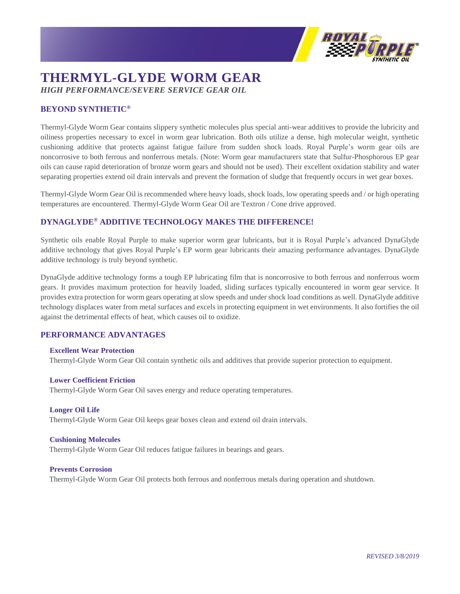

# **THERMYL-GLYDE WORM GEAR** *HIGH PERFORMANCE/SEVERE SERVICE GEAR OIL*

# **BEYOND SYNTHETIC®**

Thermyl-Glyde Worm Gear contains slippery synthetic molecules plus special anti-wear additives to provide the lubricity and oiliness properties necessary to excel in worm gear lubrication. Both oils utilize a dense, high molecular weight, synthetic cushioning additive that protects against fatigue failure from sudden shock loads. Royal Purple's worm gear oils are noncorrosive to both ferrous and nonferrous metals. (Note: Worm gear manufacturers state that Sulfur-Phosphorous EP gear oils can cause rapid deterioration of bronze worm gears and should not be used). Their excellent oxidation stability and water separating properties extend oil drain intervals and prevent the formation of sludge that frequently occurs in wet gear boxes.

Thermyl-Glyde Worm Gear Oil is recommended where heavy loads, shock loads, low operating speeds and / or high operating temperatures are encountered. Thermyl-Glyde Worm Gear Oil are Textron / Cone drive approved.

## **DYNAGLYDE® ADDITIVE TECHNOLOGY MAKES THE DIFFERENCE!**

Synthetic oils enable Royal Purple to make superior worm gear lubricants, but it is Royal Purple's advanced DynaGlyde additive technology that gives Royal Purple's EP worm gear lubricants their amazing performance advantages. DynaGlyde additive technology is truly beyond synthetic.

DynaGlyde additive technology forms a tough EP lubricating film that is noncorrosive to both ferrous and nonferrous worm gears. It provides maximum protection for heavily loaded, sliding surfaces typically encountered in worm gear service. It provides extra protection for worm gears operating at slow speeds and under shock load conditions as well. DynaGlyde additive technology displaces water from metal surfaces and excels in protecting equipment in wet environments. It also fortifies the oil against the detrimental effects of heat, which causes oil to oxidize.

### **PERFORMANCE ADVANTAGES**

#### **Excellent Wear Protection**

Thermyl-Glyde Worm Gear Oil contain synthetic oils and additives that provide superior protection to equipment.

#### **Lower Coefficient Friction**

Thermyl-Glyde Worm Gear Oil saves energy and reduce operating temperatures.

#### **Longer Oil Life**

Thermyl-Glyde Worm Gear Oil keeps gear boxes clean and extend oil drain intervals.

#### **Cushioning Molecules**

Thermyl-Glyde Worm Gear Oil reduces fatigue failures in bearings and gears.

#### **Prevents Corrosion**

Thermyl-Glyde Worm Gear Oil protects both ferrous and nonferrous metals during operation and shutdown.